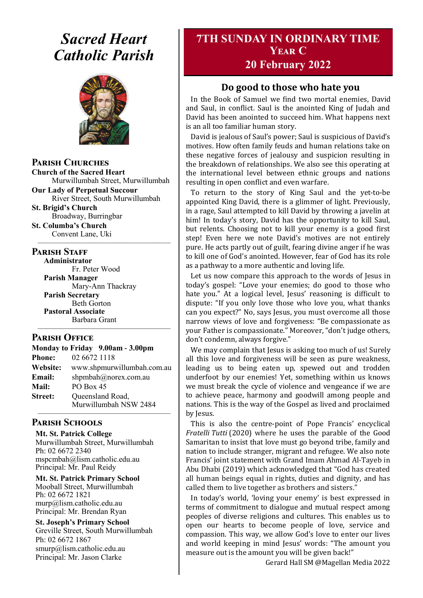# *Sacred Heart Catholic Parish*



**Parish Churches**

**Church of the Sacred Heart** Murwillumbah Street, Murwillumbah

**Our Lady of Perpetual Succour** River Street, South Murwillumbah

**St. Brigid's Church** Broadway, Burringbar

**St. Columba's Church** Convent Lane, Uki —————————————————

#### **PARISH STAFF**

**Administrator** Fr. Peter Wood **Parish Manager** Mary-Ann Thackray **Parish Secretary** Beth Gorton **Pastoral Associate** Barbara Grant

#### **Parish Office**

|                | Monday to Friday 9.00am - 3.00pm          |
|----------------|-------------------------------------------|
| <b>Phone:</b>  | 02 6672 1118                              |
| Website:       | www.shpmurwillumbah.com.au                |
| Email:         | shpmbah@norex.com.au                      |
| <b>Mail:</b>   | PO Box 45                                 |
| <b>Street:</b> | Queensland Road,<br>Murwillumbah NSW 2484 |
|                |                                           |

—————————————————

#### **Parish Schools**

**Mt. St. Patrick College** Murwillumbah Street, Murwillumbah Ph: 02 6672 2340 mspcmbah@lism.catholic.edu.au Principal: Mr. Paul Reidy

**Mt. St. Patrick Primary School** Mooball Street, Murwillumbah Ph: 02 6672 1821 murp@lism.catholic.edu.au Principal: Mr. Brendan Ryan

**St. Joseph's Primary School** Greville Street, South Murwillumbah Ph: 02 6672 1867 smurp@lism.catholic.edu.au Principal: Mr. Jason Clarke

# **7TH SUNDAY IN ORDINARY TIME Year C 20 February 2022**

#### **Do good to those who hate you**

In the Book of Samuel we find two mortal enemies, David and Saul, in conflict. Saul is the anointed King of Judah and David has been anointed to succeed him. What happens next is an all too familiar human story.

David is jealous of Saul's power; Saul is suspicious of David's motives. How often family feuds and human relations take on these negative forces of jealousy and suspicion resulting in the breakdown of relationships. We also see this operating at the international level between ethnic groups and nations resulting in open conflict and even warfare.

To return to the story of King Saul and the yet-to-be appointed King David, there is a glimmer of light. Previously, in a rage, Saul attempted to kill David by throwing a javelin at him! In today's story, David has the opportunity to kill Saul, but relents. Choosing not to kill your enemy is a good first step! Even here we note David's motives are not entirely pure. He acts partly out of guilt, fearing divine anger if he was to kill one of God's anointed. However, fear of God has its role as a pathway to a more authentic and loving life.

Let us now compare this approach to the words of Jesus in today's gospel: "Love your enemies; do good to those who hate you." At a logical level, Jesus' reasoning is difficult to dispute: "If you only love those who love you, what thanks can you expect?" No, says Jesus, you must overcome all those narrow views of love and forgiveness: "Be compassionate as your Father is compassionate." Moreover, "don't judge others, don't condemn, always forgive."

We may complain that Jesus is asking too much of us! Surely all this love and forgiveness will be seen as pure weakness, leading us to being eaten up, spewed out and trodden underfoot by our enemies! Yet, something within us knows we must break the cycle of violence and vengeance if we are to achieve peace, harmony and goodwill among people and nations. This is the way of the Gospel as lived and proclaimed by Jesus.

This is also the centre-point of Pope Francis' encyclical *Fratelli Tutti* (2020) where he uses the parable of the Good Samaritan to insist that love must go beyond tribe, family and nation to include stranger, migrant and refugee. We also note Francis' joint statement with Grand Imam Ahmad Al-Tayeb in Abu Dhabi (2019) which acknowledged that "God has created all human beings equal in rights, duties and dignity, and has called them to live together as brothers and sisters."

In today's world, 'loving your enemy' is best expressed in terms of commitment to dialogue and mutual respect among peoples of diverse religions and cultures. This enables us to open our hearts to become people of love, service and compassion. This way, we allow God's love to enter our lives and world keeping in mind Jesus' words: "The amount you measure out is the amount you will be given back!"

Gerard Hall SM @Magellan Media 2022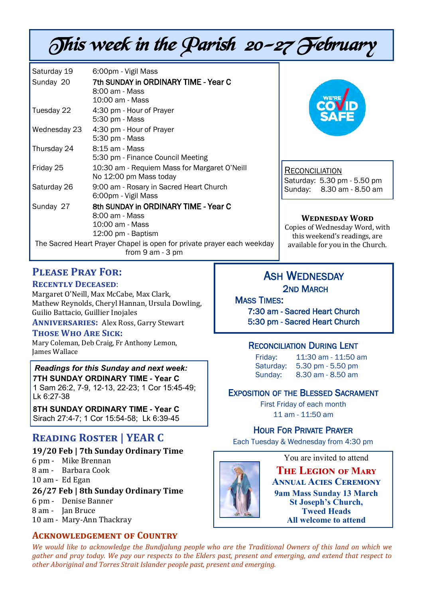# This week in the Parish 20-27 February

| Saturday 19  | 6:00pm - Vigil Mass                                                                                                                              |
|--------------|--------------------------------------------------------------------------------------------------------------------------------------------------|
| Sunday 20    | 7th SUNDAY in ORDINARY TIME - Year C                                                                                                             |
|              | 8:00 am - Mass                                                                                                                                   |
|              | 10:00 am - Mass                                                                                                                                  |
| Tuesday 22   | 4:30 pm - Hour of Prayer                                                                                                                         |
|              | 5:30 pm - Mass                                                                                                                                   |
| Wednesday 23 | 4:30 pm - Hour of Prayer                                                                                                                         |
|              | 5:30 pm - Mass                                                                                                                                   |
| Thursday 24  | 8:15 am - Mass                                                                                                                                   |
|              | 5:30 pm - Finance Council Meeting                                                                                                                |
| Friday 25    | 10:30 am - Requiem Mass for Margaret O'Neill                                                                                                     |
|              | No 12:00 pm Mass today                                                                                                                           |
| Saturday 26  | 9:00 am - Rosary in Sacred Heart Church                                                                                                          |
|              | 6:00pm - Vigil Mass                                                                                                                              |
| Sunday 27    | 8th SUNDAY in ORDINARY TIME - Year C                                                                                                             |
|              | 8:00 am - Mass                                                                                                                                   |
|              | 10:00 am - Mass                                                                                                                                  |
|              | 12:00 pm - Baptism                                                                                                                               |
|              | The Sacred Heart Prayer Chapel is open for private prayer each weekday<br>$f_{\text{max}} \cap \mathcal{L}_{\text{max}}$<br>$\sum$ $\sum$ $\sum$ |

from 9 am - 3 pm

#### **Please Pray For: Recently Deceased**:

Margaret O'Neill, Max McCabe, Max Clark, Mathew Reynolds, Cheryl Hannan, Ursula Dowling, Guilio Battacio, Guillier Inojales

**Anniversaries:** Alex Ross, Garry Stewart

#### **Those Who Are Sick:**

Mary Coleman, Deb Craig, Fr Anthony Lemon, James Wallace

*Readings for this Sunday and next week:*  **7TH SUNDAY ORDINARY TIME - Year C** 1 Sam 26:2, 7-9, 12-13, 22-23; 1 Cor 15:45-49; Lk 6:27-38

**8TH SUNDAY ORDINARY TIME - Year C** Sirach 27:4-7; 1 Cor 15:54-58; Lk 6:39-45

# **Reading Roster | YEAR C**

#### **19/20 Feb | 7th Sunday Ordinary Time**

- 6 pm Mike Brennan
- 8 am Barbara Cook
- 10 am Ed Egan

#### **26/27 Feb | 8th Sunday Ordinary Time**

- 6 pm Denise Banner
- 8 am Jan Bruce
- 10 am Mary-Ann Thackray

## **Acknowledgement of Country**



**RECONCILIATION** Saturday: 5.30 pm - 5.50 pm Sunday: 8.30 am - 8.50 am

#### **Wednesday Word**

Copies of Wednesday Word, with this weekend's readings, are available for you in the Church.

# ASH WEDNESDAY 2ND MARCH

**MASS TIMES:** 7:30 am - Sacred Heart Church 5:30 pm - Sacred Heart Church

## RECONCILIATION DURING LENT

Friday: 11:30 am - 11:50 am Saturday: 5.30 pm - 5.50 pm Sunday: 8.30 am - 8.50 am

## EXPOSITION OF THE BLESSED SACRAMENT

First Friday of each month 11 am - 11:50 am

## HOUR FOR PRIVATE PRAYER

Each Tuesday & Wednesday from 4:30 pm



You are invited to attend

**The Legion of Mary Annual Acies Ceremony 9am Mass Sunday 13 March St Joseph's Church, Tweed Heads All welcome to attend**

*We would like to acknowledge the Bundjalung people who are the Traditional Owners of this land on which we gather and pray today. We pay our respects to the Elders past, present and emerging, and extend that respect to other Aboriginal and Torres Strait Islander people past, present and emerging.*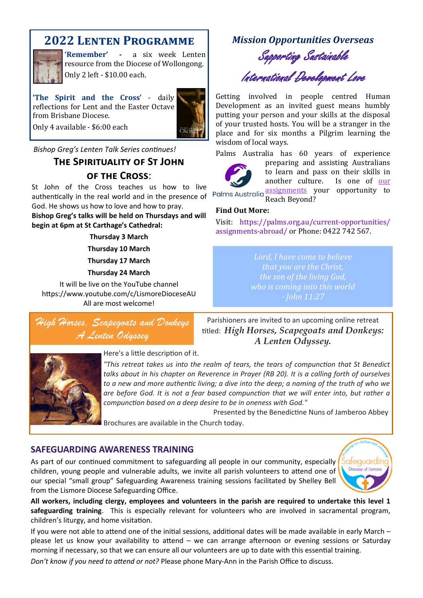# **2022 Lenten Programme**

**'Remember' -** a six week Lenten resource from the Diocese of Wollongong. Only 2 left - \$10.00 each.

**'The Spirit and the Cross'** - daily reflections for Lent and the Easter Octave from Brisbane Diocese.



Only 4 available - \$6:00 each

*Bishop Greg's Lenten Talk Series continues!* 

# **The Spirituality of St John of the Cross**:

St John of the Cross teaches us how to live authentically in the real world and in the presence of God. He shows us how to love and how to pray.

**Bishop Greg's talks will be held on Thursdays and will begin at 6pm at St Carthage's Cathedral:** 

#### **Thursday 3 March**

**Thursday 10 March** 

**Thursday 17 March** 

**Thursday 24 March** 

It will be live on the YouTube channel https://www.youtube.com/c/LismoreDioceseAU All are most welcome!

High Horses, Scapegoats and Donkeys A Lenten Odyssey

Parishioners are invited to an upcoming online retreat titled: *High Horses, Scapegoats and Donkeys: A Lenten Odyssey.* 



Here's a little description of it.

*"This retreat takes us into the realm of tears, the tears of compunction that St Benedict talks about in his chapter on Reverence in Prayer (RB 20). It is a calling forth of ourselves to a new and more authentic living; a dive into the deep; a naming of the truth of who we are before God. It is not a fear based compunction that we will enter into, but rather a compunction based on a deep desire to be in oneness with God."*

Presented by the Benedictine Nuns of Jamberoo Abbey

Brochures are available in the Church today.

#### **SAFEGUARDING AWARENESS TRAINING**

As part of our continued commitment to safeguarding all people in our community, especially children, young people and vulnerable adults, we invite all parish volunteers to attend one of our special "small group" Safeguarding Awareness training sessions facilitated by Shelley Bell from the Lismore Diocese Safeguarding Office.



**All workers, including clergy, employees and volunteers in the parish are required to undertake this level 1 safeguarding training**. This is especially relevant for volunteers who are involved in sacramental program, children's liturgy, and home visitation.

If you were not able to attend one of the initial sessions, additional dates will be made available in early March – please let us know your availability to attend – we can arrange afternoon or evening sessions or Saturday morning if necessary, so that we can ensure all our volunteers are up to date with this essential training.

*Don't know if you need to attend or not?* Please phone Mary-Ann in the Parish Office to discuss.

# *Mission Opportunities Overseas* Supporting Sustainable

International Development Love

Getting involved in people centred Human Development as an invited guest means humbly putting your person and your skills at the disposal of your trusted hosts. You will be a stranger in the place and for six months a Pilgrim learning the wisdom of local ways.

Palms Australia has 60 years of experience



preparing and assisting Australians to learn and pass on their skills in another culture. Is one of [our](https://palms.org.au/current-opportunities/)  [assignments](https://palms.org.au/current-opportunities/) your opportunity to

Reach Beyond?

#### **Find Out More:**

Visit: https://palms.org.au/current-opportunities/ assignments-abroad/ or Phone: 0422 742 567.

> *Lord, I have come to believe the son of the living God,*